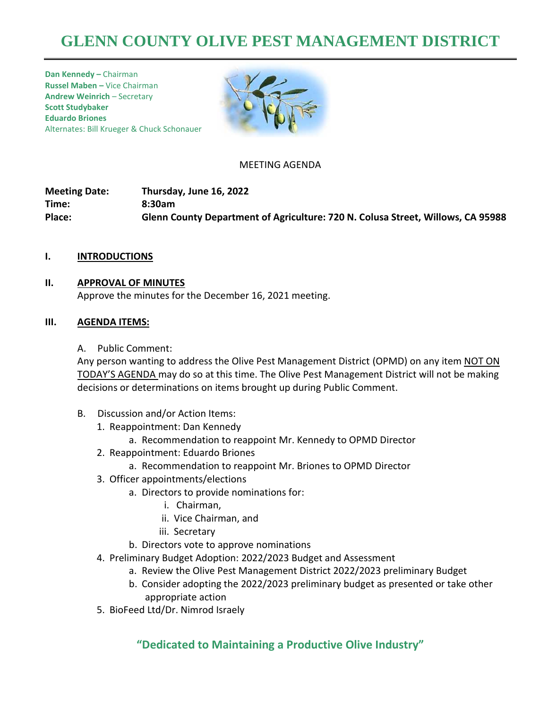# **GLENN COUNTY OLIVE PEST MANAGEMENT DISTRICT**

**Dan Kennedy –** Chairman **Russel Maben –** Vice Chairman **Andrew Weinrich** – Secretary **Scott Studybaker Eduardo Briones**  Alternates: Bill Krueger & Chuck Schonauer



#### MEETING AGENDA

**Meeting Date: Thursday, June 16, 2022 Time: 8:30am Place: Glenn County Department of Agriculture: 720 N. Colusa Street, Willows, CA 95988**

#### **I. INTRODUCTIONS**

#### **II. APPROVAL OF MINUTES**

Approve the minutes for the December 16, 2021 meeting.

#### **III. AGENDA ITEMS:**

A. Public Comment:

Any person wanting to address the Olive Pest Management District (OPMD) on any item NOT ON TODAY'S AGENDA may do so at this time. The Olive Pest Management District will not be making decisions or determinations on items brought up during Public Comment.

- B. Discussion and/or Action Items:
	- 1. Reappointment: Dan Kennedy
		- a. Recommendation to reappoint Mr. Kennedy to OPMD Director
	- 2. Reappointment: Eduardo Briones
		- a. Recommendation to reappoint Mr. Briones to OPMD Director
	- 3. Officer appointments/elections
		- a. Directors to provide nominations for:
			- i. Chairman,
			- ii. Vice Chairman, and
			- iii. Secretary
		- b. Directors vote to approve nominations
	- 4. Preliminary Budget Adoption: 2022/2023 Budget and Assessment
		- a. Review the Olive Pest Management District 2022/2023 preliminary Budget
		- b. Consider adopting the 2022/2023 preliminary budget as presented or take other appropriate action
	- 5. BioFeed Ltd/Dr. Nimrod Israely

### **"Dedicated to Maintaining a Productive Olive Industry"**